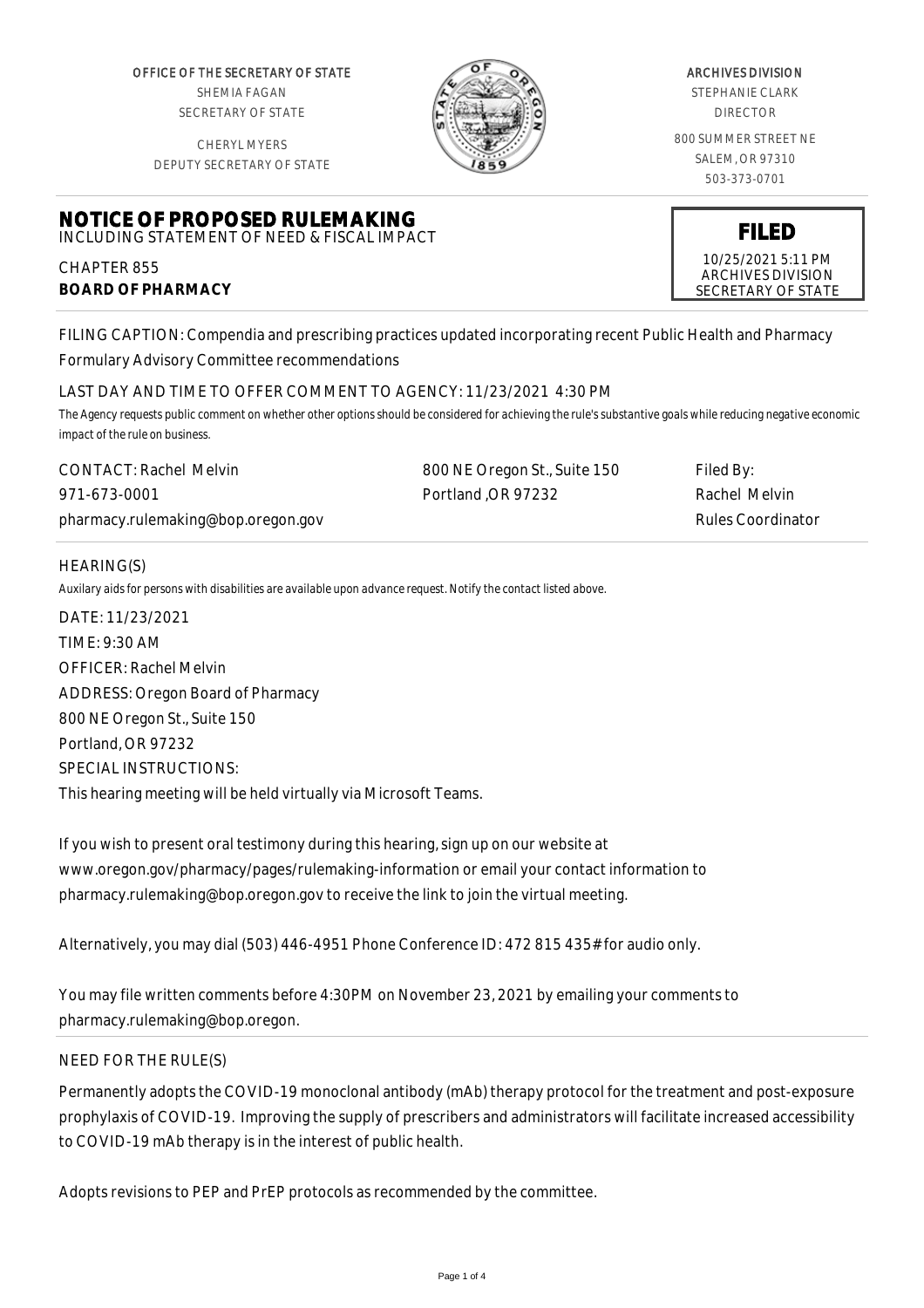OFFICE OF THE SECRETARY OF STATE SHEMIA FAGAN SECRETARY OF STATE

CHERYL MYERS



#### ARCHIVES DIVISION

STEPHANIE CLARK DIRECTOR

800 SUMMER STREET NE SALEM, OR 97310 503-373-0701

> **FILED** 10/25/2021 5:11 PM ARCHIVES DIVISION SECRETARY OF STATE

DEPUTY SECRETARY OF STATE

# **NOTICE OF PROPOSED RULEMAKING** INCLUDING STATEMENT OF NEED & FISCAL IMPACT

CHAPTER 855 **BOARD OF PHARMACY**

FILING CAPTION: Compendia and prescribing practices updated incorporating recent Public Health and Pharmacy Formulary Advisory Committee recommendations

# LAST DAY AND TIME TO OFFER COMMENT TO AGENCY: 11/23/2021 4:30 PM

*The Agency requests public comment on whether other options should be considered for achieving the rule's substantive goals while reducing negative economic impact of the rule on business.*

| <b>CONTACT: Rachel Melvin</b>      | 800 NE Oregon St., Suite 150 | Filed By:         |
|------------------------------------|------------------------------|-------------------|
| 971-673-0001                       | Portland OR 97232            | Rachel Melvin     |
| pharmacy.rulemaking@bop.oregon.gov |                              | Rules Coordinator |

### HEARING(S)

*Auxilary aids for persons with disabilities are available upon advance request. Notify the contact listed above.*

DATE: 11/23/2021 TIME: 9:30 AM OFFICER: Rachel Melvin ADDRESS: Oregon Board of Pharmacy 800 NE Oregon St., Suite 150 Portland, OR 97232 SPECIAL INSTRUCTIONS: This hearing meeting will be held virtually via Microsoft Teams.

If you wish to present oral testimony during this hearing, sign up on our website at www.oregon.gov/pharmacy/pages/rulemaking-information or email your contact information to pharmacy.rulemaking@bop.oregon.gov to receive the link to join the virtual meeting.

Alternatively, you may dial (503) 446-4951 Phone Conference ID: 472 815 435# for audio only.

You may file written comments before 4:30PM on November 23, 2021 by emailing your comments to pharmacy.rulemaking@bop.oregon.

# NEED FOR THE RULE(S)

Permanently adopts the COVID-19 monoclonal antibody (mAb) therapy protocol for the treatment and post-exposure prophylaxis of COVID-19. Improving the supply of prescribers and administrators will facilitate increased accessibility to COVID-19 mAb therapy is in the interest of public health.

Adopts revisions to PEP and PrEP protocols as recommended by the committee.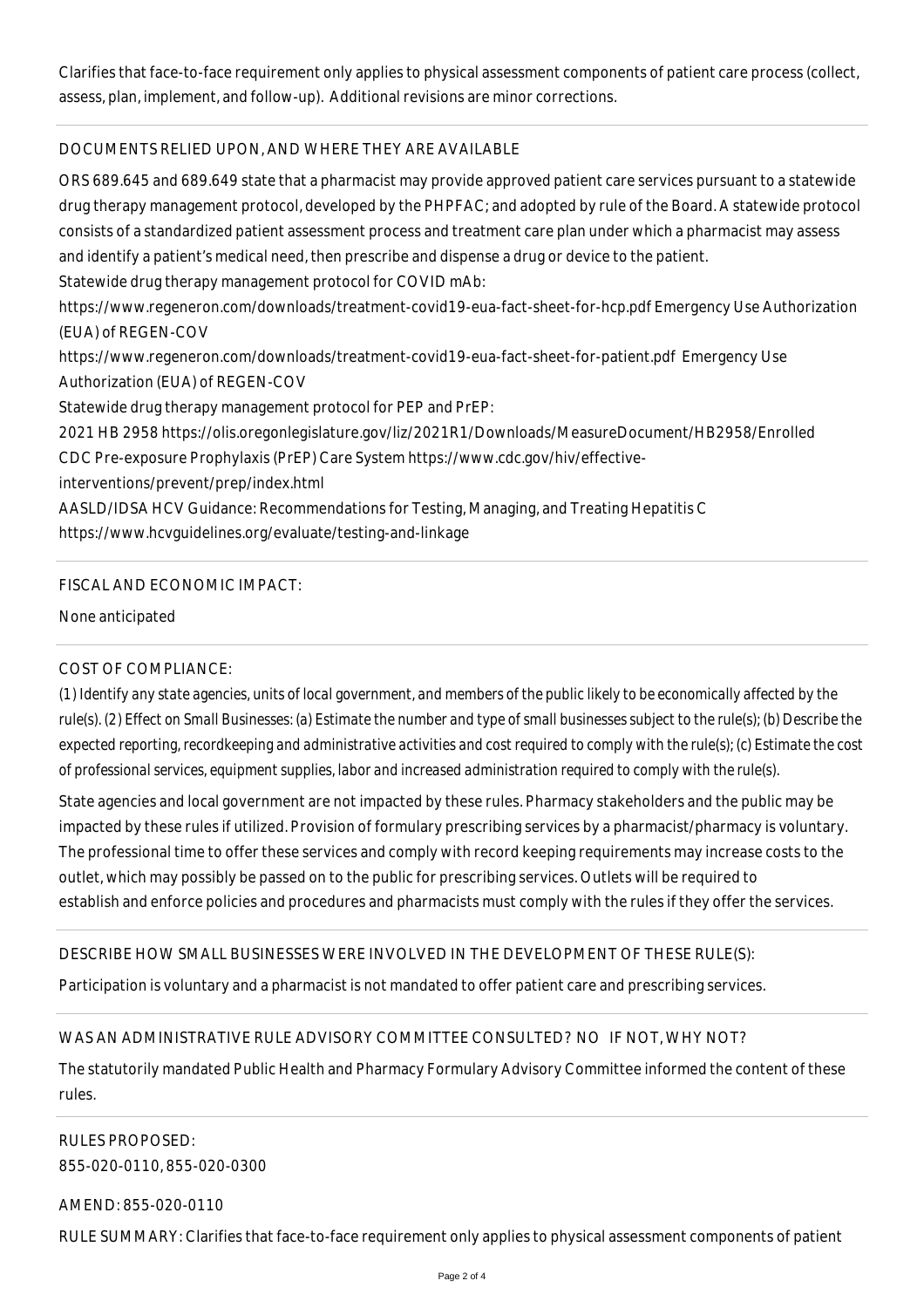Clarifies that face-to-face requirement only applies to physical assessment components of patient care process (collect, assess, plan, implement, and follow-up). Additional revisions are minor corrections.

### DOCUMENTS RELIED UPON, AND WHERE THEY ARE AVAILABLE

ORS 689.645 and 689.649 state that a pharmacist may provide approved patient care services pursuant to a statewide drug therapy management protocol, developed by the PHPFAC; and adopted by rule of the Board. A statewide protocol consists of a standardized patient assessment process and treatment care plan under which a pharmacist may assess and identify a patient's medical need, then prescribe and dispense a drug or device to the patient. Statewide drug therapy management protocol for COVID mAb: https://www.regeneron.com/downloads/treatment-covid19-eua-fact-sheet-for-hcp.pdf Emergency Use Authorization (EUA) of REGEN-COV https://www.regeneron.com/downloads/treatment-covid19-eua-fact-sheet-for-patient.pdf Emergency Use Authorization (EUA) of REGEN-COV Statewide drug therapy management protocol for PEP and PrEP: 2021 HB 2958 https://olis.oregonlegislature.gov/liz/2021R1/Downloads/MeasureDocument/HB2958/Enrolled CDC Pre-exposure Prophylaxis (PrEP) Care System https://www.cdc.gov/hiv/effectiveinterventions/prevent/prep/index.html AASLD/IDSA HCV Guidance: Recommendations for Testing, Managing, and Treating Hepatitis C https://www.hcvguidelines.org/evaluate/testing-and-linkage

### FISCAL AND ECONOMIC IMPACT:

None anticipated

#### COST OF COMPLIANCE:

*(1) Identify any state agencies, units of local government, and members of the public likely to be economically affected by the rule(s). (2) Effect on Small Businesses: (a) Estimate the number and type of small businesses subject to the rule(s); (b) Describe the expected reporting, recordkeeping and administrative activities and cost required to comply with the rule(s); (c) Estimate the cost of professional services, equipment supplies, labor and increased administration required to comply with the rule(s).*

State agencies and local government are not impacted by these rules. Pharmacy stakeholders and the public may be impacted by these rules if utilized. Provision of formulary prescribing services by a pharmacist/pharmacy is voluntary. The professional time to offer these services and comply with record keeping requirements may increase costs to the outlet, which may possibly be passed on to the public for prescribing services. Outlets will be required to establish and enforce policies and procedures and pharmacists must comply with the rules if they offer the services.

#### DESCRIBE HOW SMALL BUSINESSES WERE INVOLVED IN THE DEVELOPMENT OF THESE RULE(S):

Participation is voluntary and a pharmacist is not mandated to offer patient care and prescribing services.

#### WAS AN ADMINISTRATIVE RULE ADVISORY COMMITTEE CONSULTED? NO IF NOT, WHY NOT?

The statutorily mandated Public Health and Pharmacy Formulary Advisory Committee informed the content of these rules.

RULES PROPOSED: 855-020-0110, 855-020-0300

AMEND: 855-020-0110

RULE SUMMARY: Clarifies that face-to-face requirement only applies to physical assessment components of patient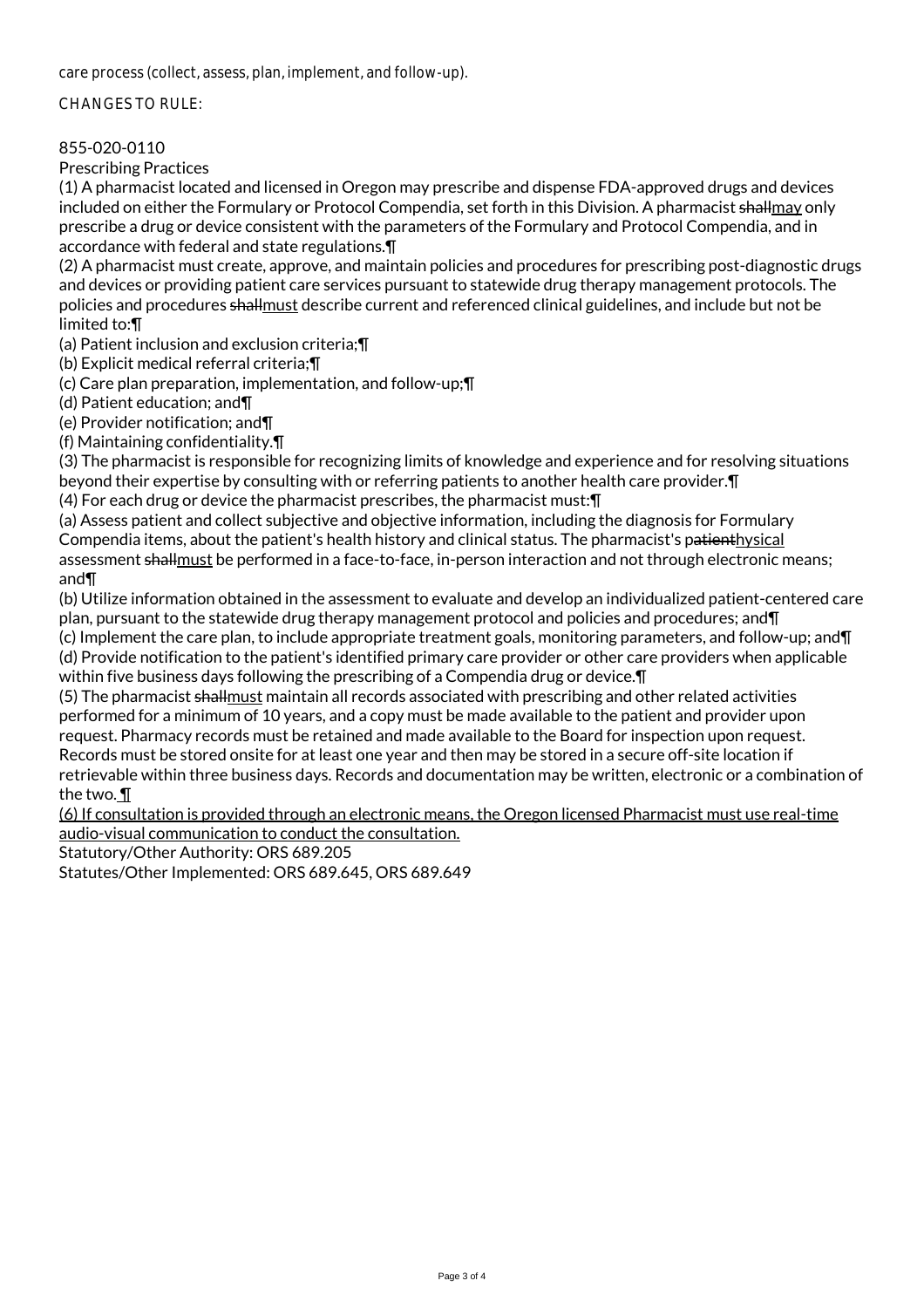care process (collect, assess, plan, implement, and follow-up).

#### CHANGES TO RULE:

### 855-020-0110

Prescribing Practices

(1) A pharmacist located and licensed in Oregon may prescribe and dispense FDA-approved drugs and devices included on either the Formulary or Protocol Compendia, set forth in this Division. A pharmacist shallmay only prescribe a drug or device consistent with the parameters of the Formulary and Protocol Compendia, and in accordance with federal and state regulations.¶

(2) A pharmacist must create, approve, and maintain policies and procedures for prescribing post-diagnostic drugs and devices or providing patient care services pursuant to statewide drug therapy management protocols. The policies and procedures shallmust describe current and referenced clinical guidelines, and include but not be limited to:¶

(a) Patient inclusion and exclusion criteria;¶

(b) Explicit medical referral criteria;¶

(c) Care plan preparation, implementation, and follow-up;¶

(d) Patient education; and¶

(e) Provider notification; and¶

(f) Maintaining confidentiality.¶

(3) The pharmacist is responsible for recognizing limits of knowledge and experience and for resolving situations beyond their expertise by consulting with or referring patients to another health care provider.¶

(4) For each drug or device the pharmacist prescribes, the pharmacist must:¶

(a) Assess patient and collect subjective and objective information, including the diagnosis for Formulary Compendia items, about the patient's health history and clinical status. The pharmacist's patienthysical assessment shallmust be performed in a face-to-face, in-person interaction and not through electronic means; and¶

(b) Utilize information obtained in the assessment to evaluate and develop an individualized patient-centered care plan, pursuant to the statewide drug therapy management protocol and policies and procedures; and¶

(c) Implement the care plan, to include appropriate treatment goals, monitoring parameters, and follow-up; and¶ (d) Provide notification to the patient's identified primary care provider or other care providers when applicable within five business days following the prescribing of a Compendia drug or device.¶

(5) The pharmacist shallmust maintain all records associated with prescribing and other related activities performed for a minimum of 10 years, and a copy must be made available to the patient and provider upon request. Pharmacy records must be retained and made available to the Board for inspection upon request. Records must be stored onsite for at least one year and then may be stored in a secure off-site location if retrievable within three business days. Records and documentation may be written, electronic or a combination of the two. ¶

(6) If consultation is provided through an electronic means, the Oregon licensed Pharmacist must use real-time audio-visual communication to conduct the consultation.

Statutory/Other Authority: ORS 689.205

Statutes/Other Implemented: ORS 689.645, ORS 689.649